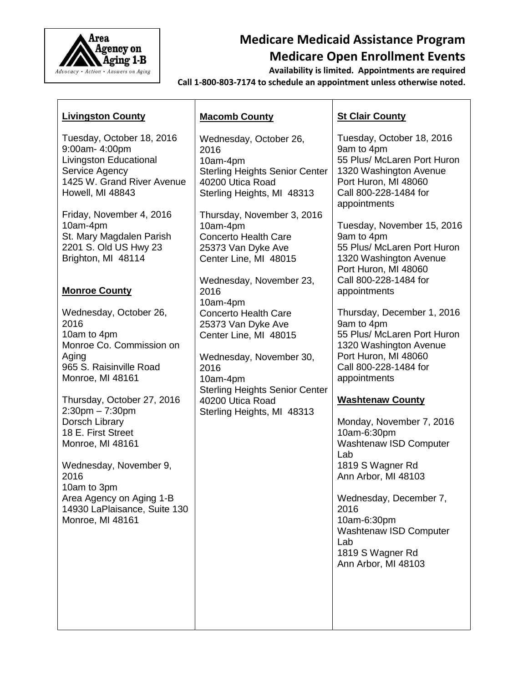

## **Medicare Medicaid Assistance Program Medicare Open Enrollment Events**

**Availability is limited. Appointments are required Call 1-800-803-7174 to schedule an appointment unless otherwise noted.**

| <b>Livingston County</b>                                                                                                                                                                                                                                                                                                                                                                                                                                                                                                                                                                                                                                                     | <b>Macomb County</b>                                                                                                                                                                                                                                                                                                                                                                                                                                                                                                                 | <b>St Clair County</b>                                                                                                                                                                                                                                                                                                                                                                                                                                                                                                                                                                                                                                                                                                                                                                       |
|------------------------------------------------------------------------------------------------------------------------------------------------------------------------------------------------------------------------------------------------------------------------------------------------------------------------------------------------------------------------------------------------------------------------------------------------------------------------------------------------------------------------------------------------------------------------------------------------------------------------------------------------------------------------------|--------------------------------------------------------------------------------------------------------------------------------------------------------------------------------------------------------------------------------------------------------------------------------------------------------------------------------------------------------------------------------------------------------------------------------------------------------------------------------------------------------------------------------------|----------------------------------------------------------------------------------------------------------------------------------------------------------------------------------------------------------------------------------------------------------------------------------------------------------------------------------------------------------------------------------------------------------------------------------------------------------------------------------------------------------------------------------------------------------------------------------------------------------------------------------------------------------------------------------------------------------------------------------------------------------------------------------------------|
| Tuesday, October 18, 2016<br>9:00am- 4:00pm<br>Livingston Educational<br>Service Agency<br>1425 W. Grand River Avenue<br>Howell, MI 48843<br>Friday, November 4, 2016<br>10am-4pm<br>St. Mary Magdalen Parish<br>2201 S. Old US Hwy 23<br>Brighton, MI 48114<br><b>Monroe County</b><br>Wednesday, October 26,<br>2016<br>10am to 4pm<br>Monroe Co. Commission on<br>Aging<br>965 S. Raisinville Road<br>Monroe, MI 48161<br>Thursday, October 27, 2016<br>$2:30$ pm $-7:30$ pm<br>Dorsch Library<br>18 E. First Street<br>Monroe, MI 48161<br>Wednesday, November 9,<br>2016<br>10am to 3pm<br>Area Agency on Aging 1-B<br>14930 LaPlaisance, Suite 130<br>Monroe, MI 48161 | Wednesday, October 26,<br>2016<br>10am-4pm<br><b>Sterling Heights Senior Center</b><br>40200 Utica Road<br>Sterling Heights, MI 48313<br>Thursday, November 3, 2016<br>10am-4pm<br><b>Concerto Health Care</b><br>25373 Van Dyke Ave<br>Center Line, MI 48015<br>Wednesday, November 23,<br>2016<br>10am-4pm<br><b>Concerto Health Care</b><br>25373 Van Dyke Ave<br>Center Line, MI 48015<br>Wednesday, November 30,<br>2016<br>10am-4pm<br><b>Sterling Heights Senior Center</b><br>40200 Utica Road<br>Sterling Heights, MI 48313 | Tuesday, October 18, 2016<br>9am to 4pm<br>55 Plus/ McLaren Port Huron<br>1320 Washington Avenue<br>Port Huron, MI 48060<br>Call 800-228-1484 for<br>appointments<br>Tuesday, November 15, 2016<br>9am to 4pm<br>55 Plus/ McLaren Port Huron<br>1320 Washington Avenue<br>Port Huron, MI 48060<br>Call 800-228-1484 for<br>appointments<br>Thursday, December 1, 2016<br>9am to 4pm<br>55 Plus/ McLaren Port Huron<br>1320 Washington Avenue<br>Port Huron, MI 48060<br>Call 800-228-1484 for<br>appointments<br><b>Washtenaw County</b><br>Monday, November 7, 2016<br>10am-6:30pm<br>Washtenaw ISD Computer<br>Lab<br>1819 S Wagner Rd<br>Ann Arbor, MI 48103<br>Wednesday, December 7,<br>2016<br>10am-6:30pm<br>Washtenaw ISD Computer<br>Lab<br>1819 S Wagner Rd<br>Ann Arbor, MI 48103 |
|                                                                                                                                                                                                                                                                                                                                                                                                                                                                                                                                                                                                                                                                              |                                                                                                                                                                                                                                                                                                                                                                                                                                                                                                                                      |                                                                                                                                                                                                                                                                                                                                                                                                                                                                                                                                                                                                                                                                                                                                                                                              |